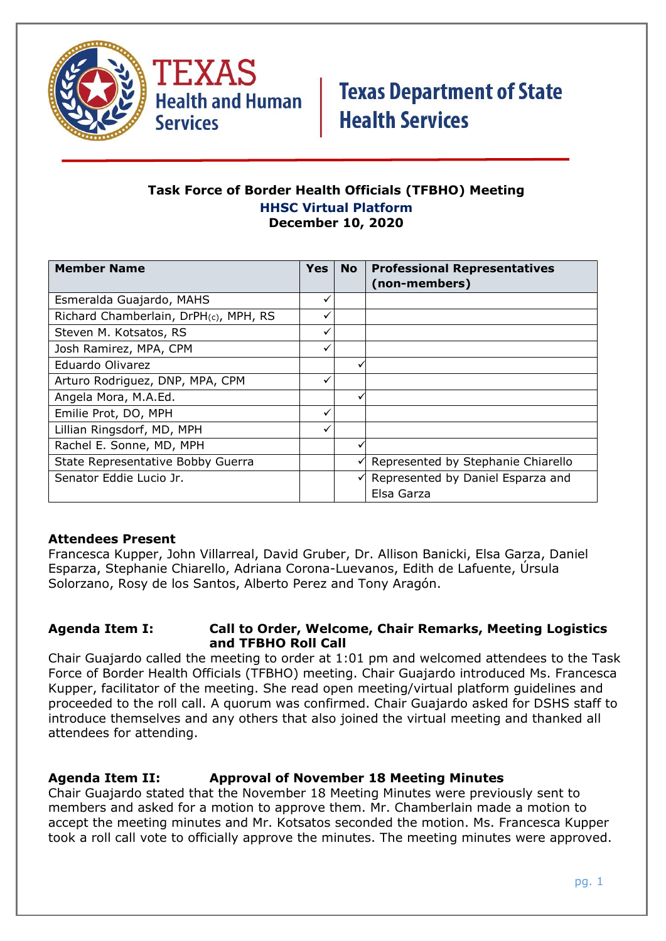

TEXAS **Health and Human Services** 

# **Texas Department of State Health Services**

### **Task Force of Border Health Officials (TFBHO) Meeting HHSC Virtual Platform December 10, 2020**

| <b>Member Name</b>                    | <b>Yes</b>   | <b>No</b> | <b>Professional Representatives</b> |
|---------------------------------------|--------------|-----------|-------------------------------------|
|                                       |              |           | (non-members)                       |
| Esmeralda Guajardo, MAHS              | ✓            |           |                                     |
| Richard Chamberlain, DrPH(c), MPH, RS |              |           |                                     |
| Steven M. Kotsatos, RS                | $\checkmark$ |           |                                     |
| Josh Ramirez, MPA, CPM                | ✓            |           |                                     |
| Eduardo Olivarez                      |              | v         |                                     |
| Arturo Rodriguez, DNP, MPA, CPM       |              |           |                                     |
| Angela Mora, M.A.Ed.                  |              |           |                                     |
| Emilie Prot, DO, MPH                  |              |           |                                     |
| Lillian Ringsdorf, MD, MPH            | ✓            |           |                                     |
| Rachel E. Sonne, MD, MPH              |              |           |                                     |
| State Representative Bobby Guerra     |              | ✓         | Represented by Stephanie Chiarello  |
| Senator Eddie Lucio Jr.               |              |           | Represented by Daniel Esparza and   |
|                                       |              |           | Elsa Garza                          |

### **Attendees Present**

Francesca Kupper, John Villarreal, David Gruber, Dr. Allison Banicki, Elsa Garza, Daniel Esparza, Stephanie Chiarello, Adriana Corona-Luevanos, Edith de Lafuente, Úrsula Solorzano, Rosy de los Santos, Alberto Perez and Tony Aragón.

### **Agenda Item I: Call to Order, Welcome, Chair Remarks, Meeting Logistics and TFBHO Roll Call**

Chair Guajardo called the meeting to order at 1:01 pm and welcomed attendees to the Task Force of Border Health Officials (TFBHO) meeting. Chair Guajardo introduced Ms. Francesca Kupper, facilitator of the meeting. She read open meeting/virtual platform guidelines and proceeded to the roll call. A quorum was confirmed. Chair Guajardo asked for DSHS staff to introduce themselves and any others that also joined the virtual meeting and thanked all attendees for attending.

### **Agenda Item II: Approval of November 18 Meeting Minutes**

Chair Guajardo stated that the November 18 Meeting Minutes were previously sent to members and asked for a motion to approve them. Mr. Chamberlain made a motion to accept the meeting minutes and Mr. Kotsatos seconded the motion. Ms. Francesca Kupper took a roll call vote to officially approve the minutes. The meeting minutes were approved.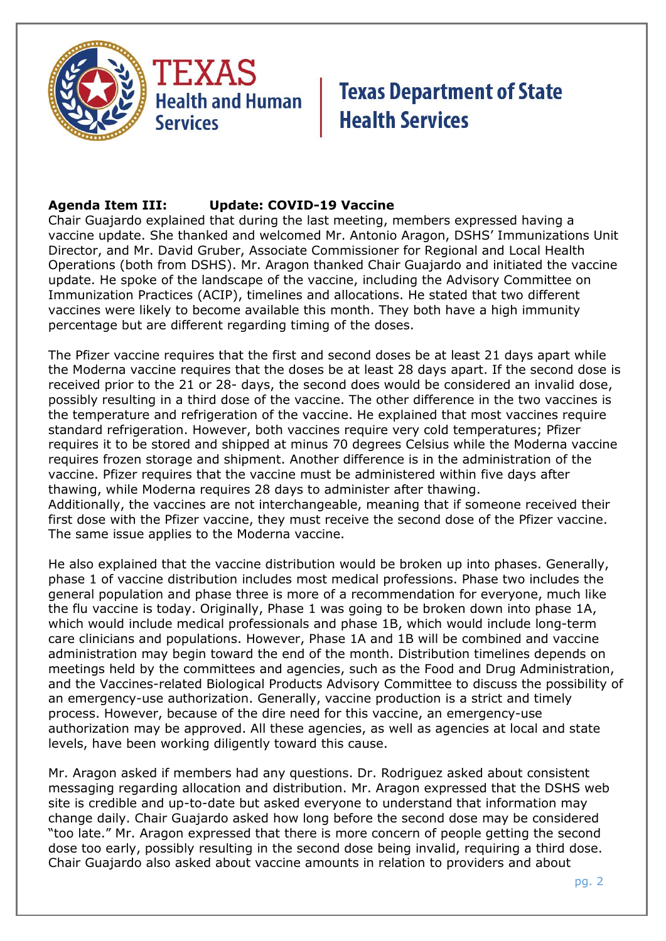

### **Agenda Item III: Update: COVID-19 Vaccine**

Chair Guajardo explained that during the last meeting, members expressed having a vaccine update. She thanked and welcomed Mr. Antonio Aragon, DSHS' Immunizations Unit Director, and Mr. David Gruber, Associate Commissioner for Regional and Local Health Operations (both from DSHS). Mr. Aragon thanked Chair Guajardo and initiated the vaccine update. He spoke of the landscape of the vaccine, including the Advisory Committee on Immunization Practices (ACIP), timelines and allocations. He stated that two different vaccines were likely to become available this month. They both have a high immunity percentage but are different regarding timing of the doses.

The Pfizer vaccine requires that the first and second doses be at least 21 days apart while the Moderna vaccine requires that the doses be at least 28 days apart. If the second dose is received prior to the 21 or 28- days, the second does would be considered an invalid dose, possibly resulting in a third dose of the vaccine. The other difference in the two vaccines is the temperature and refrigeration of the vaccine. He explained that most vaccines require standard refrigeration. However, both vaccines require very cold temperatures; Pfizer requires it to be stored and shipped at minus 70 degrees Celsius while the Moderna vaccine requires frozen storage and shipment. Another difference is in the administration of the vaccine. Pfizer requires that the vaccine must be administered within five days after thawing, while Moderna requires 28 days to administer after thawing. Additionally, the vaccines are not interchangeable, meaning that if someone received their first dose with the Pfizer vaccine, they must receive the second dose of the Pfizer vaccine. The same issue applies to the Moderna vaccine.

He also explained that the vaccine distribution would be broken up into phases. Generally, phase 1 of vaccine distribution includes most medical professions. Phase two includes the general population and phase three is more of a recommendation for everyone, much like the flu vaccine is today. Originally, Phase 1 was going to be broken down into phase 1A, which would include medical professionals and phase 1B, which would include long-term care clinicians and populations. However, Phase 1A and 1B will be combined and vaccine administration may begin toward the end of the month. Distribution timelines depends on meetings held by the committees and agencies, such as the Food and Drug Administration, and the Vaccines-related Biological Products Advisory Committee to discuss the possibility of an emergency-use authorization. Generally, vaccine production is a strict and timely process. However, because of the dire need for this vaccine, an emergency-use authorization may be approved. All these agencies, as well as agencies at local and state levels, have been working diligently toward this cause.

Mr. Aragon asked if members had any questions. Dr. Rodriguez asked about consistent messaging regarding allocation and distribution. Mr. Aragon expressed that the DSHS web site is credible and up-to-date but asked everyone to understand that information may change daily. Chair Guajardo asked how long before the second dose may be considered "too late." Mr. Aragon expressed that there is more concern of people getting the second dose too early, possibly resulting in the second dose being invalid, requiring a third dose. Chair Guajardo also asked about vaccine amounts in relation to providers and about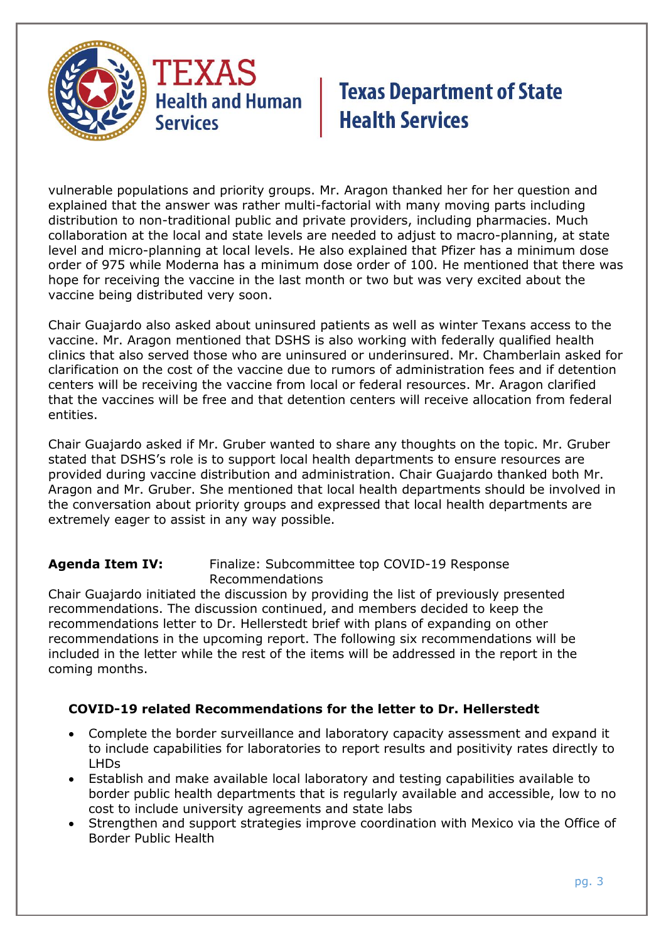

vulnerable populations and priority groups. Mr. Aragon thanked her for her question and explained that the answer was rather multi-factorial with many moving parts including distribution to non-traditional public and private providers, including pharmacies. Much collaboration at the local and state levels are needed to adjust to macro-planning, at state level and micro-planning at local levels. He also explained that Pfizer has a minimum dose order of 975 while Moderna has a minimum dose order of 100. He mentioned that there was hope for receiving the vaccine in the last month or two but was very excited about the vaccine being distributed very soon.

Chair Guajardo also asked about uninsured patients as well as winter Texans access to the vaccine. Mr. Aragon mentioned that DSHS is also working with federally qualified health clinics that also served those who are uninsured or underinsured. Mr. Chamberlain asked for clarification on the cost of the vaccine due to rumors of administration fees and if detention centers will be receiving the vaccine from local or federal resources. Mr. Aragon clarified that the vaccines will be free and that detention centers will receive allocation from federal entities.

Chair Guajardo asked if Mr. Gruber wanted to share any thoughts on the topic. Mr. Gruber stated that DSHS's role is to support local health departments to ensure resources are provided during vaccine distribution and administration. Chair Guajardo thanked both Mr. Aragon and Mr. Gruber. She mentioned that local health departments should be involved in the conversation about priority groups and expressed that local health departments are extremely eager to assist in any way possible.

**Agenda Item IV:** Finalize: Subcommittee top COVID-19 Response Recommendations

Chair Guajardo initiated the discussion by providing the list of previously presented recommendations. The discussion continued, and members decided to keep the recommendations letter to Dr. Hellerstedt brief with plans of expanding on other recommendations in the upcoming report. The following six recommendations will be included in the letter while the rest of the items will be addressed in the report in the coming months.

## **COVID-19 related Recommendations for the letter to Dr. Hellerstedt**

- Complete the border surveillance and laboratory capacity assessment and expand it to include capabilities for laboratories to report results and positivity rates directly to LHDs
- Establish and make available local laboratory and testing capabilities available to border public health departments that is regularly available and accessible, low to no cost to include university agreements and state labs
- Strengthen and support strategies improve coordination with Mexico via the Office of Border Public Health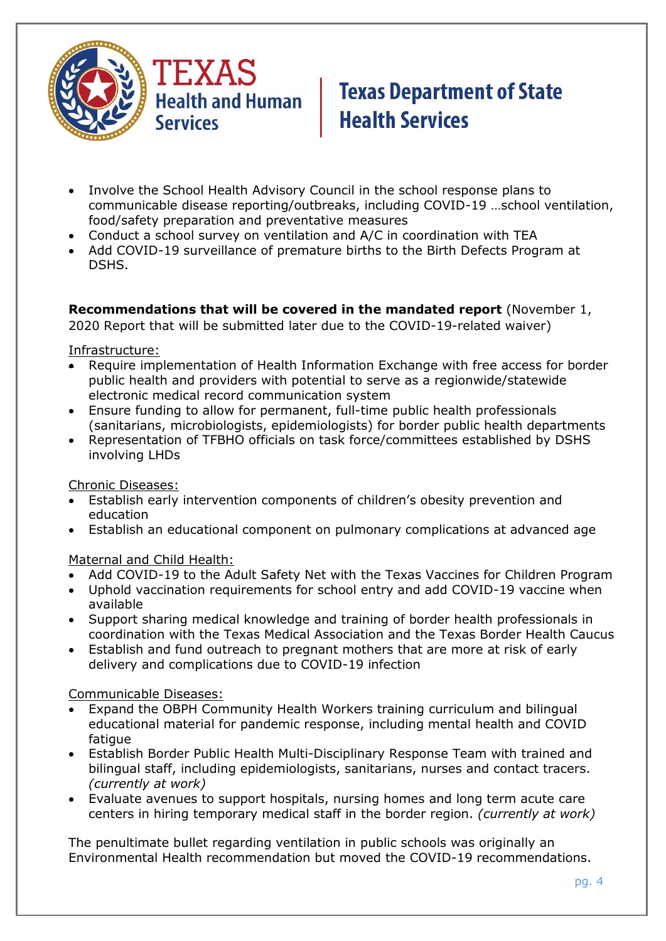

- Involve the School Health Advisory Council in the school response plans to communicable disease reporting/outbreaks, including COVID-19 …school ventilation, food/safety preparation and preventative measures
- Conduct a school survey on ventilation and A/C in coordination with TEA
- Add COVID-19 surveillance of premature births to the Birth Defects Program at DSHS.

## **Recommendations that will be covered in the mandated report** (November 1,

2020 Report that will be submitted later due to the COVID-19-related waiver)

Infrastructure:

- Require implementation of Health Information Exchange with free access for border public health and providers with potential to serve as a regionwide/statewide electronic medical record communication system
- Ensure funding to allow for permanent, full-time public health professionals (sanitarians, microbiologists, epidemiologists) for border public health departments
- Representation of TFBHO officials on task force/committees established by DSHS involving LHDs

Chronic Diseases:

- Establish early intervention components of children's obesity prevention and education
- Establish an educational component on pulmonary complications at advanced age

Maternal and Child Health:

- Add COVID-19 to the Adult Safety Net with the Texas Vaccines for Children Program
- Uphold vaccination requirements for school entry and add COVID-19 vaccine when available
- Support sharing medical knowledge and training of border health professionals in coordination with the Texas Medical Association and the Texas Border Health Caucus
- Establish and fund outreach to pregnant mothers that are more at risk of early delivery and complications due to COVID-19 infection

Communicable Diseases:

- Expand the OBPH Community Health Workers training curriculum and bilingual educational material for pandemic response, including mental health and COVID fatique
- Establish Border Public Health Multi-Disciplinary Response Team with trained and bilingual staff, including epidemiologists, sanitarians, nurses and contact tracers. *(currently at work)*
- Evaluate avenues to support hospitals, nursing homes and long term acute care centers in hiring temporary medical staff in the border region. *(currently at work)*

The penultimate bullet regarding ventilation in public schools was originally an Environmental Health recommendation but moved the COVID-19 recommendations.